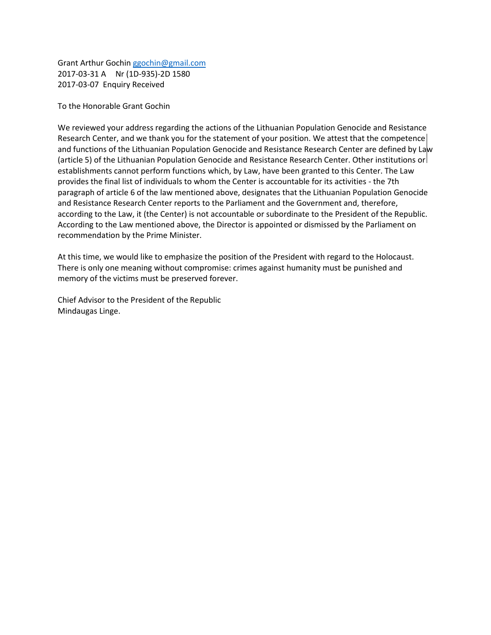Grant Arthur Gochi[n ggochin@gmail.com](mailto:ggochin@gmail.com) 2017-03-31 A Nr (1D-935)-2D 1580 2017-03-07 Enquiry Received

To the Honorable Grant Gochin

We reviewed your address regarding the actions of the Lithuanian Population Genocide and Resistance Research Center, and we thank you for the statement of your position. We attest that the competence and functions of the Lithuanian Population Genocide and Resistance Research Center are defined by Law (article 5) of the Lithuanian Population Genocide and Resistance Research Center. Other institutions or establishments cannot perform functions which, by Law, have been granted to this Center. The Law provides the final list of individuals to whom the Center is accountable for its activities - the 7th paragraph of article 6 of the law mentioned above, designates that the Lithuanian Population Genocide and Resistance Research Center reports to the Parliament and the Government and, therefore, according to the Law, it (the Center) is not accountable or subordinate to the President of the Republic. According to the Law mentioned above, the Director is appointed or dismissed by the Parliament on recommendation by the Prime Minister.

At this time, we would like to emphasize the position of the President with regard to the Holocaust. There is only one meaning without compromise: crimes against humanity must be punished and memory of the victims must be preserved forever.

Chief Advisor to the President of the Republic Mindaugas Linge.